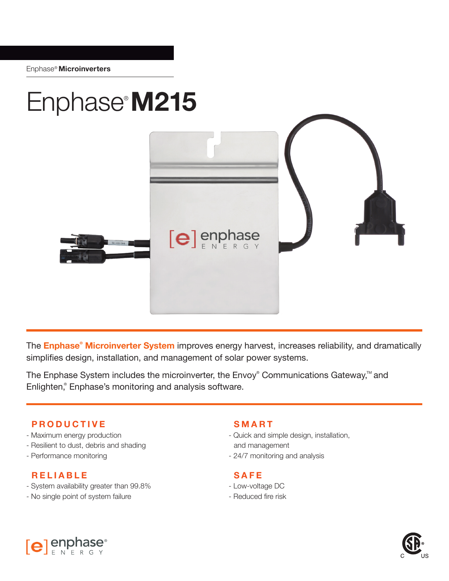

The **Enphase® Microinverter System** improves energy harvest, increases reliability, and dramatically simplifies design, installation, and management of solar power systems.

The Enphase System includes the microinverter, the Envoy® Communications Gateway,<sup>™</sup> and Enlighten,<sup>®</sup> Enphase's monitoring and analysis software.

## **PRODUCTIVE**

- Maximum energy production
- Resilient to dust, debris and shading
- Performance monitoring

## **RELIABLE**

- System availability greater than 99.8%
- No single point of system failure

## **SMART**

- Quick and simple design, installation, and management
- 24/7 monitoring and analysis

## **SAFE**

- Low-voltage DC
- Reduced fire risk